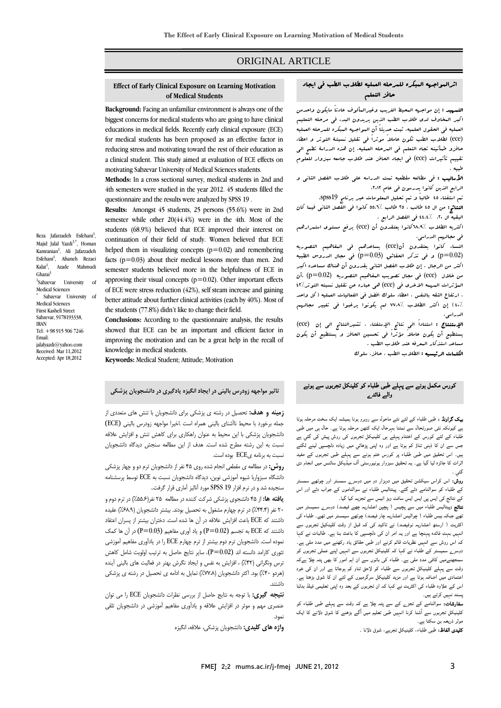# ORIGINAL ARTICLE

#### **Effect of Early Clinical Exposure on Learning Motivation of Medical Students**

Ī  $\overline{a}$ 

 **Background:** Facing an unfamiliar environment is always one of the biggest concerns for medical students who are going to have clinical educations in medical fields. Recently early clinical exposure (ECE) for medical students has been proposed as an effective factor in reducing stress and motivating toward the rest of their education as a clinical student. This study aimed at evaluation of ECE effects on motivating Sabzevar University of Medical Sciences students.

 **Methods:** In a cross sectional survey, medical students in 2nd and 4th semesters were studied in the year 2012. 45 students filled the questionnaire and the results were analyzed by SPSS 19 .

 **Results:** Amongst 45 students, 25 persons (55.6%) were in 2nd students (68.9%) believed that ECE improved their interest on<br>students (68.9%) believed that ECE improved their interest on continuation of their field of study. Women believed that ECE helped them in visualizing concepts  $(p=0.02)$  and remembering facts (p=0.03) about their medical lessons more than men. 2nd semester students believed more in the helpfulness of ECE in of ECE were stress reduction (42%), self steam increase and gaining better attitude about further clinical activities (each by 40%). Most of the students (77.8%) didn't like to change their field. semester while other 20(44.4%) were in the 4th. Most of the approving their visual concepts ( $p=0.02$ ). Other important effects

 **Conclusions:** According to the questionnaire analysis, the results improving the motivation and can be a great help in the recall of showed that ECE can be an important and efficient factor in knowledge in medical students.

**Keywords:** Medical Student; Attitude; Motivation

# **تاثير مواجهه زودرس باليني در ايجاد انگيزه يادگيري در دانشجويان پزشكي**

 **زمينه و هدف:** تحصيل در رشته ي پزشكي براي دانشجويان با تنش هاي متعددي از جمله برخورد با محيط ناآشناي باليني همراه است .اخيرا مواجهه زودرس باليني (ECE( دانشجويان پزشكي با اين محيط به عنوان راهكاري براي كاهش تنش و افزايش علاقه نسبت به اين رشته مطرح شده است. هدف از اين مطالعه سنجش ديدگاه دانشجويان نسبت به برنامه يECE بوده است.

 **روش:** در مطالعه ي مقطعي انجام شده روي 45 نفر از دانشجويان ترم دو و چهار پزشكي دانشگاه سبزواربا شيوه آموزشي نوين، ديدگاه دانشجويان نسبت به ECE توسط پرسشنامه سنجيده شد و در نرم افزار 19 SPSS مورد آناليز آماري قرار گرفت..

 **يافته ها:** از 45 دانشجوي پزشكي شركت كننده در مطالعه 25 نفر(%55.6) در ترم دوم و .<br>۲۰ نفر (۴۴.۴٪) در ترم چهارم مشغول به تحصيل بودند. بيشتر دانشجويان (۶۸.۹٪) عقيده داشتند كه ECE باعث افزايش علاقه در آن ها شده است. دختران بيشتر از پسران اعتقاد داشتند كه ECE به تجسم (P $=0.02$ ) و ياد آوري مفاهيم (P $=0.03$ ) در آن ها كمک نموده است. دانشجويان ترم دوم بيشتر از ترم چهارم ECE را در يادآوري مفاهيم آموزشي تئوري كارامد دانسته اند  $( P = 0.02)$ . ساير نتايج حاصل به ترتيب اولويت شامل كاهش ترس ونگراني (۴۲٪) ، افزايش به نفس و ايجاد نگرش بهتر در فعاليت هاي باليني آينده<br>د استفاده (هردو ۴۰٪) بود. اكثر دانشجويان (٧٧٨٪) تمايل به ادامه ي تحصيل در رشته ي پزشكي<br>داشتن داشتند.

 **نتيجه گيري:** با توجه به نتايج حاصل از بررسي نظرات دانشجويان ECE را مي توان عنصري مهم و موثر در افزايش علاقه و يادآوري مفاهيم آموزشي در دانشجويان تلقي نمود.

**واژه هاي كليدي:** دانشجويان پزشكي، علاقه، انگيزه

## اثرالمواجهه المبكره للمرحله العمليه لطلاب الطب في ايجاد حافز التعلم

Ī  $\overline{a}$ 

الع<del>مويد</del> : إن مواجهه البحية العريب وعيرالعالوب عادنا مايلون واحدمن<br>كبر البخاوف لدى طلاب الطب الذين يريدون البدء ف<sub>ي</sub> مرحله التعليم العمليه في الحقول العلميه. ثبت حديثاً أن المواجهه المبكره للمرحله العمليه (ece (لطلاب الطب تكون عاملاً موثراً في تقليل نسبتـة التوتر و اعطاء حافزو طمأنينه تجاه التعلم في المرحله العمليه. إن هذه الدراسة تطمح الي تقييم تأثيرات (ece) في ايجاد الحافز عند طلاب جامعه سنزوار للعلوم<br>المعد التمهيد : إن مواجهه المحيط الغريب وغيرالمألوف عادتاً مايكون واحدمن طبيه .

.<br>**الأساليب :** في مطالعه مقطعيه تمت الدراسه على طلاب الفصل الثاني و الرابع الذين كانوا يدرسون في عام ٢٠١٢.

تم استفتاء 45 طالباً و تم تحليل المعلومات عبر برنامج 19spss.

العصامج . من ال ن من من ..<br>البقيه ال ٢٠. / ٤٤.٤ في الفصل الرابع . النتائج: من ال 45 طالب ، 25 طالب 55.6% كانوا في الفصل الثاني فيما كان

.<br>اكثريه الطلاب /٨.٩%كانوا يعتقدون أن (ece) يرفع مستوى استعرارهم في مجالهم الدراسي.

 النساء كانوا يعتقدون أن(ece (يساعدهم في المفاهيم التصوريه (0.02=p (و في تذكر الحقائق (0.03=p (في مجال الدروس الطبيه من خلال (ece (في مجال تصويب المفاهيم التصوريه (0.02=p (.أن المؤثرات المهمه الاخري في (ece (هي عباره عن تقليل نسبته التوتر42% ، ارتفاع الثقه بالنفس ، اعطاء سلوك افضل في الفعاليات العمليه (كل واحد<br>... 40%) إن اكثر الطلاب 77.8% لم يكونوا يرغبوا في تغيير مجالهم اكثر من الرجال . إن طلاب الفصل الثاني يقدرون أن هناك مساعده اكبر الدراسي.

 الإستنتاج : استناداً الي نتائج الإستفتاء ، تشيرالنتائج الي إن (ece( يستطيع أن يكون عاملاً مؤثراً في تحسين الحافز و يستطيع أن يكون مساعد استذكار السرفه عند طلاب الطب .<br>م مساعد استذلار البعرف عند ظلاب الطب .<br>ا**لكلمات الرئيسيه :** الطلاب الطب ، حافز، سلوك

# کورس مکمل ہونے سے پہلے طبی طلباء کو کلینکل تجربوں سے ہونے والے فائدے

 بیک گراونڈ : طبی طلباء کے لئے نئے ماحول سے روبرو ہونا ہمیشہ ایک سخت مرحلہ ہوتا ے ٹیوںکہ نئی صورتحاں سے نمتنا بہرحاں ایک تنھن مرحلہ ہوں ہے. حاں ہی میں صبی<br>طلباء کے لئے کورس کے اختتام پہلے ہی کلینیکل تجربوں کی روش پیش کی گئی ہے جس سے ان کا ذہنی تناؤ کم ہوتا ہے اور وہ اپنی پڑھائي میں زیادہ دلچسپی لینے لگتے ہیں۔ اس تحقیق میں طبی طلباء پر کورس ختم ہونے سے پہلے طبی تجربوں کے مفید ثرات کا جائزہ لیا گیا ہے۔ یہ تحقیق سبزوار یونیورسٹی آف میڈیکل سائنس میں انجام دی<br>گئہ . ہے کیونکہ نئی صورتحال سے نمٹنا بہرحال ایک کٹھن مرحلہ ہوتا ہے۔ حال ہی میں طبی گئي ۔

 روش: اس کراس سیکشن تحقیق میں دوہزار دو میں دوسرے سمسٹر اور چوتھے سمسٹر کے طلباء کو سوالنامے دئے گئے۔ پینتالیس طلباء نے سوالناموں کے جواب دئے اور اس کے نتائج کی ایس پی ایس ایس سافٹ ویڑ انیس سے تجزیہ کیا گيا۔

 نتائج :پیتالیس طلباء میں سے پچیس ( پچپن اعشاریہ چھے فیصد) دوسرے سمیسٹر میں تھے جبکہ بیس طلباء ( چوالیس اعشاریہ چار فیصد) چوتھے سیمسٹر میں تھے۔ طلباء کی انٹریٹ / ''رسم ''انسٹاریہ ٹولیسٹہ' نے تاکید کی کم تین ''ر وقت کیپنچین ٹیزیوں سے<br>انہیں بہت فائدہ پہنچا ہے اور یہ امر ان کی دلچسپی کا باعث بنا ہے۔ طالبات نے کہا کہ اس روش سے انہیں نظریات قائم کرنے اور طبی حقائق یاد رکھنے میں مدد ملی ہے۔ دوسرے سمیسٹر کے طلباء نے کہا کہ کلینیکل تجربوں سے انہیں اپنے عملی تجربوں کو۔<br>کانسیں کانشیں اور اپنے مطالبات کے سامنے اپنے کا مطالبات کے مطالبات کے مطالبات وقت سے پہلے کلینیکل تجربوں سے طلباء کو لاحق تناو کم ہوجاتا ہے اور ان کی خود اعتمادی میں اضافہ ہوتا ہے اور مزید کلینیکل سرگرمیوں کے لئے ان کا شوق بڑھتا ہے۔ اس کے علاوہ طلباء کی اکثریت نے کہا کہ ان تجربوں کے بعد وہ اپنی تعلیمی فیلڈ بدلنا اکثریت ( ارسٹھ اعشاریہ نوفیصد) نے تاکید کی کہ قبل از وقت کلینکیل تجربوں سے سمجھنےمیں کافی مدد ملی ہے۔ طلباء کی باتوں سے ان اہم امور کا بھی پتہ چلا ہےکہ پسند نہیں کرتے ہیں۔

 سفارشات: سوالنامے کے تجزے کے سے پتہ چلا ہے کہ وقت سے پہلے طبی طلباء کو کلینیکل تجربوں سے آشنا کرنا انہیں طبی تعلیم میں آگے بڑھنے کا شوق دلانے کا ایک<br>شمین موثر ذریعہ بن سکتا ہے۔

کوں کہ ہے۔<br>**کلیدی الفاظ:** طبی طلباء، کلینیکل تجربے، شوق دلانا <sub>۔</sub>

Majid Jalal Yazdi<sup>1,\*</sup>, Homan Kamranian<sup>1</sup>, Ali Jafarzadeh Esfehani<sup>1</sup>, Afsaneh Rezaei  $K$ alat $<sup>1</sup>$ </sup> , Azade Mahmudi Gharai<sup>1</sup> 1 Sabzevar University of Medical Sciences Sabzevar University of Medical Sciences Fiirst Kashefi Street Sabzevar, 9178193338, IRAN Tel: +98 915 506 7246 Email: jalalyazdi@yahoo.com Received: Mar 11,2012 Accepted: Apr 18,2012

\*

Reza Jafarzadeh Esfehani<sup>1</sup>,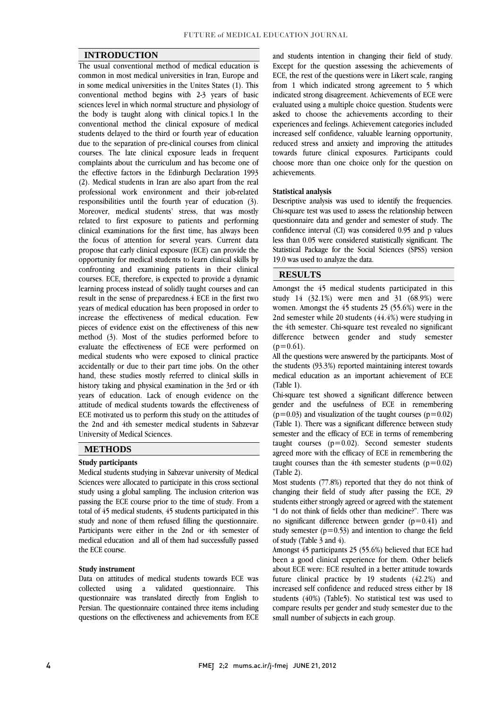### **INTRODUCTION**

 The usual conventional method of medical education is common in most medical universities in Iran, Europe and In some medical dinversities in the Unites States (1). This<br>conventional method begins with 2-3 years of basic sciences level in which normal structure and physiology of the body is taught along with clinical topics.1 In the conventional method the clinical exposure of medical due to the separation of pre-clinical courses from clinical courses. The late clinical exposure leads in frequent complaints about the curriculum and has become one of the effective factors in the Edinburgh Declaration 1993 professional work environment and their job-related responsibilities until the fourth year of education (3). Moreover, medical students' stress, that was mostly related to first exposure to patients and performing the focus of attention for several years. Current data propose that early clinical exposure (ECE) can provide the opportunity for medical students to learn clinical skills by confronting and examining patients in their clinical learning process instead of solidly taught courses and can result in the sense of preparedness.4 ECE in the first two years of medical education has been proposed in order to pieces of evidence exist on the effectiveness of this new method (3). Most of the studies performed before to evaluate the effectiveness of ECE were performed on medical students who were exposed to clinical practice hand, these studies mostly referred to clinical skills in history taking and physical examination in the 3rd or 4th years of education. Lack of enough evidence on the attitude of medical students towards the effectiveness of the 2nd and 4th semester medical students in Sabzevar in some medical universities in the Unites States (1). This students delayed to the third or fourth year of education (2). Medical students in Iran are also apart from the real clinical examinations for the first time, has always been courses. ECE, therefore, is expected to provide a dynamic increase the effectiveness of medical education. Few accidentally or due to their part time jobs. On the other ECE motivated us to perform this study on the attitudes of University of Medical Sciences.

### **METHODS**

#### **Study participants**

 Medical students studying in Sabzevar university of Medical Sciences were allocated to participate in this cross sectional study using a global sampling. The inclusion criterion was passing the ECE course prior to the time of study. From a study and none of them refused filling the questionnaire. Participants were either in the 2nd or 4th semester of medical education and all of them had successfully passed total of 45 medical students, 45 students participated in this the ECE course.

#### **Study instrument**

 Data on attitudes of medical students towards ECE was This Persian. The questionnaire contained three items including questions on the effectiveness and achievements from ECE collected using a validated questionnaire. questionnaire was translated directly from English to

 Except for the question assessing the achievements of ECE, the rest of the questions were in Likert scale, ranging indicated strong disagreement. Achievements of ECE were evaluated using a multiple choice question. Students were asked to choose the achievements according to their experiences and feelings. Achievement categories included reduced stress and anxiety and improving the attitudes towards future clinical exposures. Participants could choose more than one choice only for the question on and students intention in changing their field of study. from 1 which indicated strong agreement to 5 which increased self confidence, valuable learning opportunity, achievements.

#### **Statistical analysis**

 Descriptive analysis was used to identify the frequencies. Chi-square test was used to assess the relationship between confidence interval (CI) was considered 0.95 and p values less than 0.05 were considered statistically significant. The Statistical Package for the Social Sciences (SPSS) version questionnaire data and gender and semester of study. The 19.0 was used to analyze the data.

## **RESULTS**

 Amongst the 45 medical students participated in this study 14 (32.1%) were men and 31 (68.9%) were women. Amongst the 45 students 25 (55.6%) were in the the 4th semester. Chi-square test revealed no significant difference between gender and study semester 2nd semester while 20 students (44.4%) were studying in  $(p=0.61)$ .

All the questions were answered by the participants. Most of medical education as an important achievement of ECE the students (93.3%) reported maintaining interest towards (Table 1).

 Chi-square test showed a significant difference between gender and the usefulness of ECE in remembering  $(Table 1)$ . There was a significant difference between study semester and the efficacy of ECE in terms of remembering taught courses (p=0.02). Second semester students agreed more with the entracy of ECE in remembering the taught courses than the 4th semester students  $(p=0.02)$ I  $(p=0.03)$  and visualization of the taught courses  $(p=0.02)$ agreed more with the efficacy of ECE in remembering the (Table 2).

 Most students (77.8%) reported that they do not think of changing their field of study after passing the ECE, 29 "I do not think of fields other than medicine?". There was no significant difference between gender  $(p=0.41)$  and study semester  $(p=0.53)$  and intention to change the field students either strongly agreed or agreed with the statement of study (Table 3 and 4).

ot study (1able 5 and 4).<br>Amongst 45 participants 25 (55.6%) believed that ECE had been a good clinical experience for them. Other beliefs about ECE were: ECE resulted in a better attitude towards future clinical practice by 19 students (42.2%) and increased self confidence and reduced stress either by 18 compare results per gender and study semester due to the students (40%) (Table5). No statistical test was used to small number of subjects in each group.

j Ī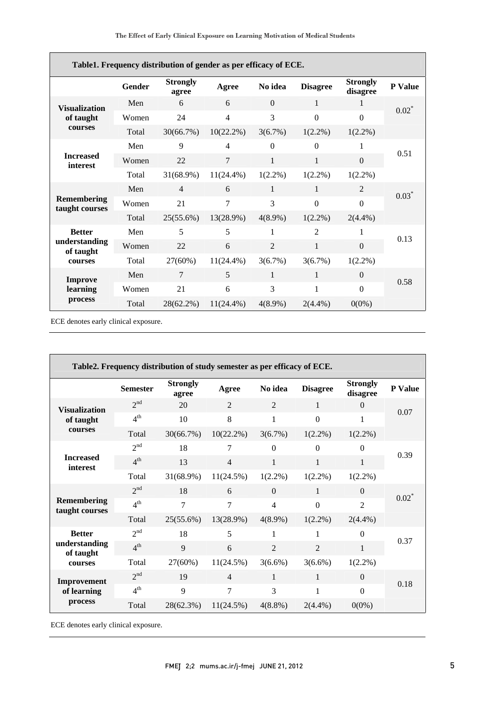| Table1. Frequency distribution of gender as per efficacy of ECE. |               |                          |                |                |                 |                             |                |  |
|------------------------------------------------------------------|---------------|--------------------------|----------------|----------------|-----------------|-----------------------------|----------------|--|
|                                                                  | <b>Gender</b> | <b>Strongly</b><br>agree | Agree          | No idea        | <b>Disagree</b> | <b>Strongly</b><br>disagree | <b>P</b> Value |  |
| <b>Visualization</b>                                             | Men           | 6                        | 6              | $\Omega$       | 1               | 1                           | $0.02^*$       |  |
| of taught                                                        | Women         | 24                       | $\overline{4}$ | 3              | $\Omega$        | $\Omega$                    |                |  |
| courses                                                          | Total         | 30(66.7%)                | 10(22.2%)      | 3(6.7%)        | $1(2.2\%)$      | $1(2.2\%)$                  |                |  |
|                                                                  | Men           | 9                        | $\overline{4}$ | $\Omega$       | $\Omega$        | 1                           |                |  |
| <b>Increased</b><br>interest                                     | Women         | 22                       | $\tau$         | $\mathbf{1}$   | $\mathbf{1}$    | $\boldsymbol{0}$            | 0.51           |  |
|                                                                  | Total         | $31(68.9\%)$             | $11(24.4\%)$   | $1(2.2\%)$     | $1(2.2\%)$      | $1(2.2\%)$                  |                |  |
| Remembering<br>taught courses                                    | Men           | $\overline{4}$           | 6              | $\mathbf{1}$   | $\mathbf{1}$    | $\overline{2}$              | $0.03*$        |  |
|                                                                  | Women         | 21                       | 7              | 3              | $\Omega$        | $\overline{0}$              |                |  |
|                                                                  | Total         | $25(55.6\%)$             | 13(28.9%)      | $4(8.9\%)$     | $1(2.2\%)$      | $2(4.4\%)$                  |                |  |
| <b>Better</b><br>understanding<br>of taught<br>courses           | Men           | 5                        | 5              | 1              | $\overline{2}$  | 1                           |                |  |
|                                                                  | Women         | 22                       | 6              | $\overline{2}$ | $\mathbf{1}$    | $\boldsymbol{0}$            | 0.13           |  |
|                                                                  | Total         | 27(60%)                  | $11(24.4\%)$   | 3(6.7%)        | 3(6.7%)         | $1(2.2\%)$                  |                |  |
| <b>Improve</b><br>learning<br>process                            | Men           | 7                        | 5              | 1              | 1               | $\theta$                    |                |  |
|                                                                  | Women         | 21                       | 6              | 3              | 1               | $\theta$                    | 0.58           |  |
|                                                                  | Total         | 28(62.2%)                | $11(24.4\%)$   | $4(8.9\%)$     | $2(4.4\%)$      | $0(0\%)$                    |                |  |

ECE denotes early clinical exposure.

| Table2. Frequency distribution of study semester as per efficacy of ECE. |                 |                          |                |                |                 |                             |         |
|--------------------------------------------------------------------------|-----------------|--------------------------|----------------|----------------|-----------------|-----------------------------|---------|
|                                                                          | <b>Semester</b> | <b>Strongly</b><br>agree | Agree          | No idea        | <b>Disagree</b> | <b>Strongly</b><br>disagree | P Value |
| <b>Visualization</b>                                                     | 2 <sup>nd</sup> | 20                       | $\overline{2}$ | 2              | 1               | $\Omega$                    | 0.07    |
| of taught                                                                | 4 <sup>th</sup> | 10                       | 8              | 1              | $\theta$        | 1                           |         |
| courses                                                                  | Total           | 30(66.7%)                | $10(22.2\%)$   | 3(6.7%)        | $1(2.2\%)$      | $1(2.2\%)$                  |         |
|                                                                          | 2 <sup>nd</sup> | 18                       | 7              | $\theta$       | $\theta$        | $\theta$                    |         |
| <b>Increased</b><br>interest                                             | $4^{\text{th}}$ | 13                       | $\overline{4}$ | $\mathbf{1}$   | $\mathbf{1}$    | $\mathbf{1}$                | 0.39    |
|                                                                          | Total           | 31(68.9%)                | 11(24.5%)      | $1(2.2\%)$     | $1(2.2\%)$      | $1(2.2\%)$                  |         |
|                                                                          | 2 <sup>nd</sup> | 18                       | 6              | $\Omega$       | 1               | $\Omega$                    |         |
| Remembering<br>taught courses                                            | 4 <sup>th</sup> | 7                        | 7              | $\overline{4}$ | $\overline{0}$  | $\overline{2}$              | $0.02*$ |
|                                                                          | Total           | 25(55.6%)                | 13(28.9%)      | $4(8.9\%)$     | $1(2.2\%)$      | $2(4.4\%)$                  |         |
| <b>Better</b><br>understanding<br>of taught                              | 2 <sup>nd</sup> | 18                       | 5              | 1              | 1               | $\theta$                    |         |
|                                                                          | $4^{\text{th}}$ | 9                        | 6              | $\mathfrak{D}$ | $\mathfrak{D}$  | $\mathbf{1}$                | 0.37    |
| courses                                                                  | Total           | 27(60%)                  | 11(24.5%)      | $3(6.6\%)$     | $3(6.6\%)$      | $1(2.2\%)$                  |         |
| Improvement<br>of learning<br>process                                    | $2^{nd}$        | 19                       | $\overline{4}$ | 1              | 1               | $\Omega$                    |         |
|                                                                          | 4 <sup>th</sup> | 9                        | 7              | 3              | 1               | $\Omega$                    | 0.18    |
|                                                                          | Total           | 28(62.3%)                | 11(24.5%)      | $4(8.8\%)$     | $2(4.4\%)$      | $0(0\%)$                    |         |
|                                                                          |                 |                          |                |                |                 |                             |         |

I

ECE denotes early clinical exposure.

ֺֺ

Ξ

I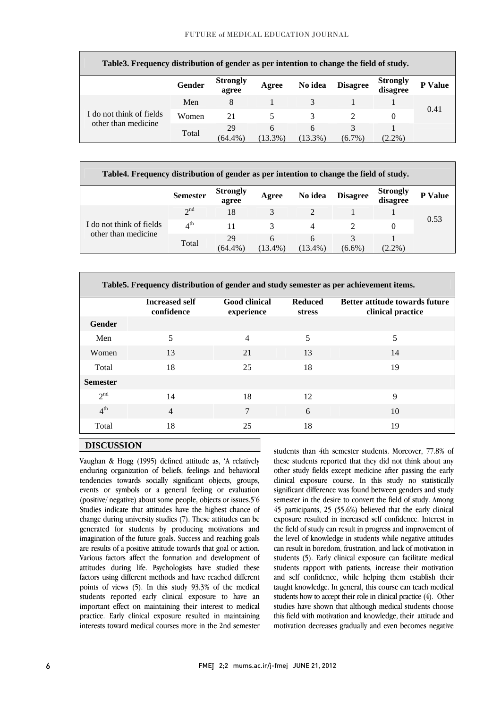| Table3. Frequency distribution of gender as per intention to change the field of study. |        |                          |                 |                 |                 |                             |                |  |
|-----------------------------------------------------------------------------------------|--------|--------------------------|-----------------|-----------------|-----------------|-----------------------------|----------------|--|
|                                                                                         | Gender | <b>Strongly</b><br>agree | Agree           | No idea         | <b>Disagree</b> | <b>Strongly</b><br>disagree | <b>P</b> Value |  |
|                                                                                         | Men    | 8                        |                 |                 |                 |                             | 0.41           |  |
| I do not think of fields                                                                | Women  | 21                       |                 | 3               | $\mathcal{D}$   | $\theta$                    |                |  |
| other than medicine                                                                     | Total  | 29<br>$(64.4\%$          | 6<br>$(13.3\%)$ | 6<br>$(13.3\%)$ | 3<br>$(6.7\%)$  | $2.2\%$                     |                |  |

| Table4. Frequency distribution of gender as per intention to change the field of study. |                 |                          |                 |                |                 |                             |                |  |
|-----------------------------------------------------------------------------------------|-----------------|--------------------------|-----------------|----------------|-----------------|-----------------------------|----------------|--|
|                                                                                         | <b>Semester</b> | <b>Strongly</b><br>agree | Agree           | No idea        | <b>Disagree</b> | <b>Strongly</b><br>disagree | <b>P</b> Value |  |
|                                                                                         | $2^{nd}$        | 18                       | 3               | $\mathfrak{D}$ |                 |                             | 0.53           |  |
| I do not think of fields                                                                | 4 <sup>th</sup> | 11                       | 3               | 4              |                 | 0                           |                |  |
| other than medicine                                                                     | Total           | 29<br>$(64.4\%$          | 6<br>$(13.4\%)$ | 6<br>(13.4%)   | 3<br>$(6.6\%)$  | $(2.2\%)$                   |                |  |

ī **Table5. Frequency distribution of gender and study semester as per achievement items.** 

|                 | <b>Increased self</b><br>confidence | <b>Good clinical</b><br>experience | <b>Reduced</b><br><b>stress</b> | <b>Better attitude towards future</b><br>clinical practice |
|-----------------|-------------------------------------|------------------------------------|---------------------------------|------------------------------------------------------------|
| <b>Gender</b>   |                                     |                                    |                                 |                                                            |
| Men             | 5                                   | $\overline{4}$                     | 5                               | 5                                                          |
| Women           | 13                                  | 21                                 | 13                              | 14                                                         |
| Total           | 18                                  | 25                                 | 18                              | 19                                                         |
| <b>Semester</b> |                                     |                                    |                                 |                                                            |
| 2 <sup>nd</sup> | 14                                  | 18                                 | 12                              | 9                                                          |
| 4 <sup>th</sup> | $\overline{4}$                      | 7                                  | 6                               | 10                                                         |
| Total           | 18                                  | 25                                 | 18                              | 19                                                         |

# **DISCUSSION**

 Vaughan & Hogg (1995) defined attitude as, 'A relatively enduring organization of beliefs, feelings and behavioral tendencies towards socially significant objects, groups, events or symbols or a general feeling or evaluation Studies indicate that attitudes have the highest chance of change during university studies (7). These attitudes can be generated for students by producing motivations and are results of a positive attitude towards that goal or action. Various factors affect the formation and development of attitudes during life. Psychologists have studied these factors using different methods and have reached different students reported early clinical exposure to have an important effect on maintaining their interest to medical practice. Early clinical exposure resulted in maintaining interests toward medical courses more in the 2nd semester (positive/ negative) about some people, objects or issues.5'6 imagination of the future goals. Success and reaching goals points of views (5). In this study 93.3% of the medical  students than 4th semester students. Moreover, 77.8% of these students reported that they did not think about any other study fields except medicine after passing the early clinical exposure course. In this study no statistically significant difference was found between genders and study 45 participants, 25 (55.6%) believed that the early clinical exposure resulted in increased self confidence. Interest in the field of study can result in progress and improvement of the level of knowledge in students while negative attitudes students (5). Early clinical exposure can facilitate medical students rapport with patients, increase their motivation and self confidence, while helping them establish their taught knowledge. In general, this course can teach medical studies have shown that although medical students choose this field with motivation and knowledge, their attitude and motivation decreases gradually and even becomes negative semester in the desire to convert the field of study. Among can result in boredom, frustration, and lack of motivation in students how to accept their role in clinical practice (4). Other

ī